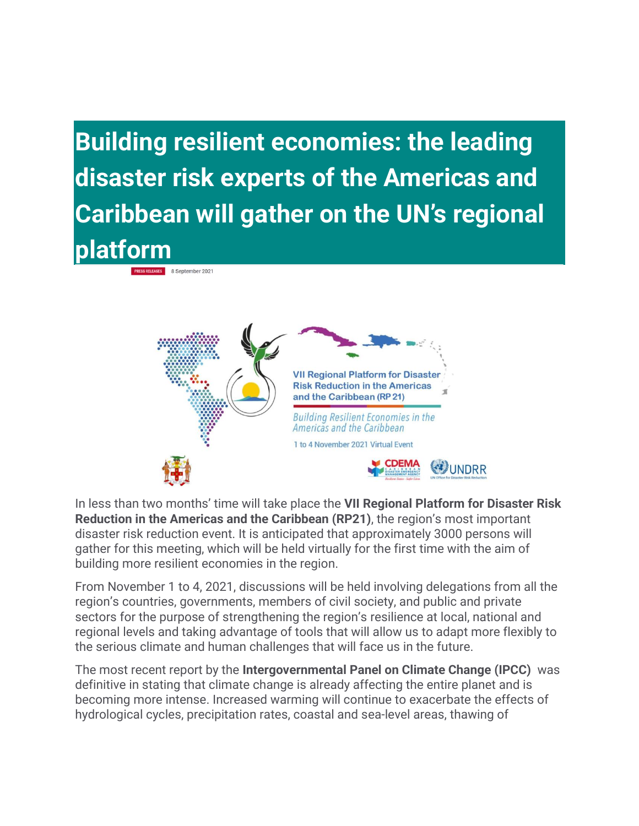**Building resilient economies: the leading disaster risk experts of the Americas and Caribbean will gather on the UN's regional platform**

**PRESS RELEASES** 8 September 2021



In less than two months' time will take place the **VII Regional Platform for Disaster Risk Reduction in the Americas and the Caribbean (RP21)**, the region's most important disaster risk reduction event. It is anticipated that approximately 3000 persons will gather for this meeting, which will be held virtually for the first time with the aim of building more resilient economies in the region.

From November 1 to 4, 2021, discussions will be held involving delegations from all the region's countries, governments, members of civil society, and public and private sectors for the purpose of strengthening the region's resilience at local, national and regional levels and taking advantage of tools that will allow us to adapt more flexibly to the serious climate and human challenges that will face us in the future.

The most recent report by the **Intergovernmental Panel on Climate Change (IPCC)** was definitive in stating that climate change is already affecting the entire planet and is becoming more intense. Increased warming will continue to exacerbate the effects of hydrological cycles, precipitation rates, coastal and sea-level areas, thawing of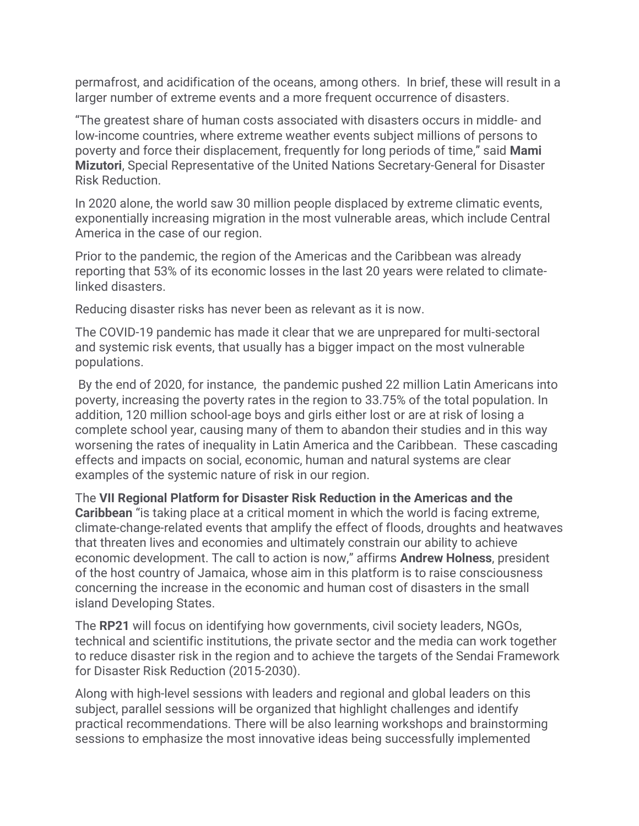permafrost, and acidification of the oceans, among others. In brief, these will result in a larger number of extreme events and a more frequent occurrence of disasters.

"The greatest share of human costs associated with disasters occurs in middle- and low-income countries, where extreme weather events subject millions of persons to poverty and force their displacement, frequently for long periods of time," said **Mami Mizutori**, Special Representative of the United Nations Secretary-General for Disaster Risk Reduction.

In 2020 alone, the world saw 30 million people displaced by extreme climatic events, exponentially increasing migration in the most vulnerable areas, which include Central America in the case of our region.

Prior to the pandemic, the region of the Americas and the Caribbean was already reporting that 53% of its economic losses in the last 20 years were related to climatelinked disasters.

Reducing disaster risks has never been as relevant as it is now.

The COVID-19 pandemic has made it clear that we are unprepared for multi-sectoral and systemic risk events, that usually has a bigger impact on the most vulnerable populations.

By the end of 2020, for instance, the pandemic pushed 22 million Latin Americans into poverty, increasing the poverty rates in the region to 33.75% of the total population. In addition, 120 million school-age boys and girls either lost or are at risk of losing a complete school year, causing many of them to abandon their studies and in this way worsening the rates of inequality in Latin America and the Caribbean. These cascading effects and impacts on social, economic, human and natural systems are clear examples of the systemic nature of risk in our region.

The **VII Regional Platform for Disaster Risk Reduction in the Americas and the Caribbean** "is taking place at a critical moment in which the world is facing extreme, climate-change-related events that amplify the effect of floods, droughts and heatwaves that threaten lives and economies and ultimately constrain our ability to achieve economic development. The call to action is now," affirms **Andrew Holness**, president of the host country of Jamaica, whose aim in this platform is to raise consciousness concerning the increase in the economic and human cost of disasters in the small island Developing States.

The **RP21** will focus on identifying how governments, civil society leaders, NGOs, technical and scientific institutions, the private sector and the media can work together to reduce disaster risk in the region and to achieve the targets of the Sendai Framework for Disaster Risk Reduction (2015-2030).

Along with high-level sessions with leaders and regional and global leaders on this subject, parallel sessions will be organized that highlight challenges and identify practical recommendations. There will be also learning workshops and brainstorming sessions to emphasize the most innovative ideas being successfully implemented